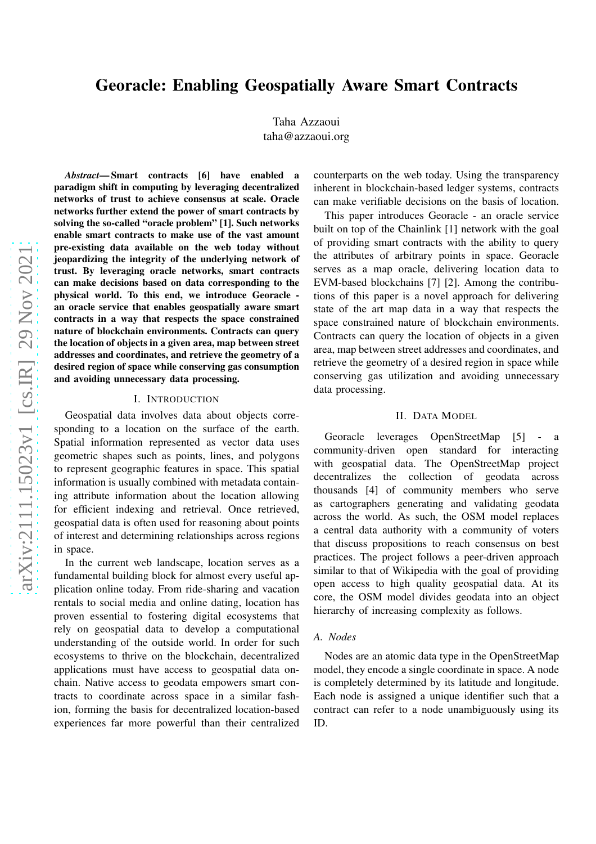# Georacle: Enabling Geospatially Aware Smart Contracts

Taha Azzaoui taha@azzaoui.org

*Abstract*— Smart contracts [6] have enabled a paradigm shift in computing by leveraging decentralized networks of trust to achieve consensus at scale. Oracle networks further extend the power of smart contracts by solving the so-called "oracle problem" [1]. Such networks enable smart contracts to make use of the vast amount pre-existing data available on the web today without jeopardizing the integrity of the underlying network of trust. By leveraging oracle networks, smart contracts can make decisions based on data corresponding to the physical world. To this end, we introduce Georacle an oracle service that enables geospatially aware smart contracts in a way that respects the space constrained nature of blockchain environments. Contracts can query the location of objects in a given area, map between street addresses and coordinates, and retrieve the geometry of a desired region of space while conserving gas consumption and avoiding unnecessary data processing.

#### I. INTRODUCTION

Geospatial data involves data about objects corresponding to a location on the surface of the earth. Spatial information represented as vector data uses geometric shapes such as points, lines, and polygons to represent geographic features in space. This spatial information is usually combined with metadata containing attribute information about the location allowing for efficient indexing and retrieval. Once retrieved, geospatial data is often used for reasoning about points of interest and determining relationships across regions in space.

In the current web landscape, location serves as a fundamental building block for almost every useful application online today. From ride-sharing and vacation rentals to social media and online dating, location has proven essential to fostering digital ecosystems that rely on geospatial data to develop a computational understanding of the outside world. In order for such ecosystems to thrive on the blockchain, decentralized applications must have access to geospatial data onchain. Native access to geodata empowers smart contracts to coordinate across space in a similar fashion, forming the basis for decentralized location-based experiences far more powerful than their centralized counterparts on the web today. Using the transparency inherent in blockchain-based ledger systems, contracts can make verifiable decisions on the basis of location.

This paper introduces Georacle - an oracle service built on top of the Chainlink [1] network with the goal of providing smart contracts with the ability to query the attributes of arbitrary points in space. Georacle serves as a map oracle, delivering location data to EVM-based blockchains [7] [2]. Among the contributions of this paper is a novel approach for delivering state of the art map data in a way that respects the space constrained nature of blockchain environments. Contracts can query the location of objects in a given area, map between street addresses and coordinates, and retrieve the geometry of a desired region in space while conserving gas utilization and avoiding unnecessary data processing.

#### II. DATA MODEL

Georacle leverages OpenStreetMap [5] - a community-driven open standard for interacting with geospatial data. The OpenStreetMap project decentralizes the collection of geodata across thousands [4] of community members who serve as cartographers generating and validating geodata across the world. As such, the OSM model replaces a central data authority with a community of voters that discuss propositions to reach consensus on best practices. The project follows a peer-driven approach similar to that of Wikipedia with the goal of providing open access to high quality geospatial data. At its core, the OSM model divides geodata into an object hierarchy of increasing complexity as follows.

### *A. Nodes*

Nodes are an atomic data type in the OpenStreetMap model, they encode a single coordinate in space. A node is completely determined by its latitude and longitude. Each node is assigned a unique identifier such that a contract can refer to a node unambiguously using its ID.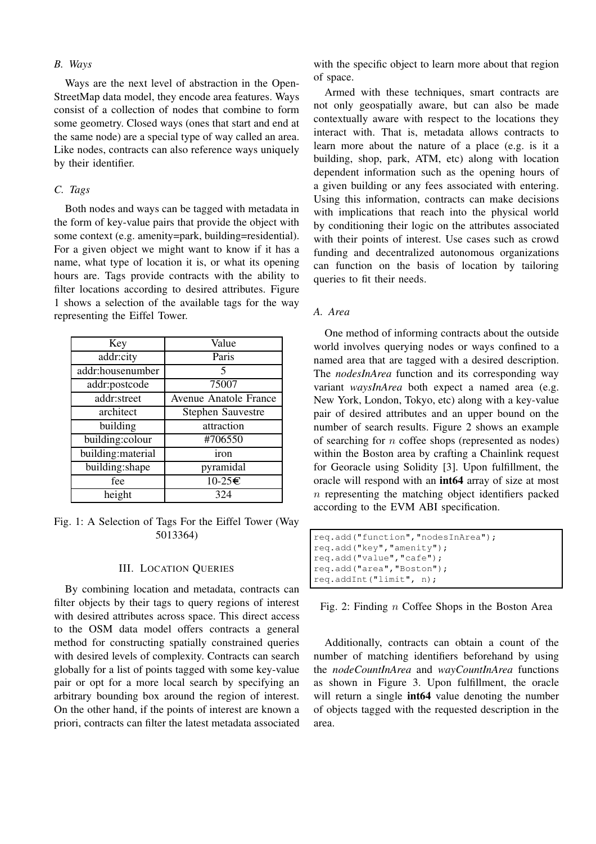### *B. Ways*

Ways are the next level of abstraction in the Open-StreetMap data model, they encode area features. Ways consist of a collection of nodes that combine to form some geometry. Closed ways (ones that start and end at the same node) are a special type of way called an area. Like nodes, contracts can also reference ways uniquely by their identifier.

# *C. Tags*

Both nodes and ways can be tagged with metadata in the form of key-value pairs that provide the object with some context (e.g. amenity=park, building=residential). For a given object we might want to know if it has a name, what type of location it is, or what its opening hours are. Tags provide contracts with the ability to filter locations according to desired attributes. Figure 1 shows a selection of the available tags for the way representing the Eiffel Tower.

| Key                | Value                        |  |  |  |
|--------------------|------------------------------|--|--|--|
| addr:city          | Paris                        |  |  |  |
| addr:housenumber   | 5                            |  |  |  |
| addr:postcode      | 75007                        |  |  |  |
| addr:street        | <b>Avenue Anatole France</b> |  |  |  |
| architect          | <b>Stephen Sauvestre</b>     |  |  |  |
| building           | attraction                   |  |  |  |
| building:colour    | #706550                      |  |  |  |
| building: material | iron                         |  |  |  |
| building:shape     | pyramidal                    |  |  |  |
| fee                | $10-25C$                     |  |  |  |
| height             | 324                          |  |  |  |

Fig. 1: A Selection of Tags For the Eiffel Tower (Way 5013364)

### III. LOCATION QUERIES

By combining location and metadata, contracts can filter objects by their tags to query regions of interest with desired attributes across space. This direct access to the OSM data model offers contracts a general method for constructing spatially constrained queries with desired levels of complexity. Contracts can search globally for a list of points tagged with some key-value pair or opt for a more local search by specifying an arbitrary bounding box around the region of interest. On the other hand, if the points of interest are known a priori, contracts can filter the latest metadata associated with the specific object to learn more about that region of space.

Armed with these techniques, smart contracts are not only geospatially aware, but can also be made contextually aware with respect to the locations they interact with. That is, metadata allows contracts to learn more about the nature of a place (e.g. is it a building, shop, park, ATM, etc) along with location dependent information such as the opening hours of a given building or any fees associated with entering. Using this information, contracts can make decisions with implications that reach into the physical world by conditioning their logic on the attributes associated with their points of interest. Use cases such as crowd funding and decentralized autonomous organizations can function on the basis of location by tailoring queries to fit their needs.

### *A. Area*

One method of informing contracts about the outside world involves querying nodes or ways confined to a named area that are tagged with a desired description. The *nodesInArea* function and its corresponding way variant *waysInArea* both expect a named area (e.g. New York, London, Tokyo, etc) along with a key-value pair of desired attributes and an upper bound on the number of search results. Figure 2 shows an example of searching for  $n$  coffee shops (represented as nodes) within the Boston area by crafting a Chainlink request for Georacle using Solidity [3]. Upon fulfillment, the oracle will respond with an int64 array of size at most  $n$  representing the matching object identifiers packed according to the EVM ABI specification.

```
req.add("function","nodesInArea");
req.add("key","amenity");
req.add("value","cafe");
req.add("area","Boston");
req.addInt("limit", n);
```
Fig. 2: Finding  $n$  Coffee Shops in the Boston Area

Additionally, contracts can obtain a count of the number of matching identifiers beforehand by using the *nodeCountInArea* and *wayCountInArea* functions as shown in Figure 3. Upon fulfillment, the oracle will return a single **int64** value denoting the number of objects tagged with the requested description in the area.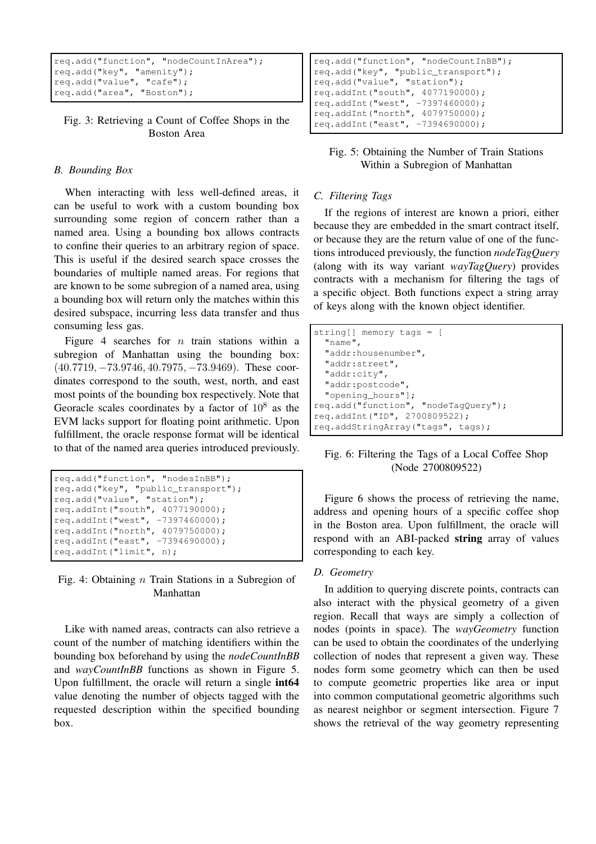```
req.add("function", "nodeCountInArea");
req.add("key", "amenity");
req.add("value", "cafe");
req.add("area", "Boston");
```
Fig. 3: Retrieving a Count of Coffee Shops in the Boston Area

# *B. Bounding Box*

When interacting with less well-defined areas, it can be useful to work with a custom bounding box surrounding some region of concern rather than a named area. Using a bounding box allows contracts to confine their queries to an arbitrary region of space. This is useful if the desired search space crosses the boundaries of multiple named areas. For regions that are known to be some subregion of a named area, using a bounding box will return only the matches within this desired subspace, incurring less data transfer and thus consuming less gas.

Figure 4 searches for  $n$  train stations within a subregion of Manhattan using the bounding box: (40.7719, −73.9746, 40.7975, −73.9469). These coordinates correspond to the south, west, north, and east most points of the bounding box respectively. Note that Georacle scales coordinates by a factor of  $10^8$  as the EVM lacks support for floating point arithmetic. Upon fulfillment, the oracle response format will be identical to that of the named area queries introduced previously.

```
req.add("function", "nodesInBB");
req.add("key", "public_transport");
req.add("value", "station");
req.addInt("south", 4077190000);
req.addInt("west", -7397460000);
req.addInt("north", 4079750000);
req.addInt("east", -7394690000);
req.addInt("limit", n);
```
# Fig. 4: Obtaining n Train Stations in a Subregion of Manhattan

Like with named areas, contracts can also retrieve a count of the number of matching identifiers within the bounding box beforehand by using the *nodeCountInBB* and *wayCountInBB* functions as shown in Figure 5. Upon fulfillment, the oracle will return a single int64 value denoting the number of objects tagged with the requested description within the specified bounding box.

```
req.add("function", "nodeCountInBB");
req.add("key", "public_transport");
req.add("value", "station");
req.addInt("south", 4077190000);
req.addInt("west", -7397460000);
req.addInt("north", 4079750000);
req.addInt("east", -7394690000);
```
# Fig. 5: Obtaining the Number of Train Stations Within a Subregion of Manhattan

# *C. Filtering Tags*

If the regions of interest are known a priori, either because they are embedded in the smart contract itself, or because they are the return value of one of the functions introduced previously, the function *nodeTagQuery* (along with its way variant *wayTagQuery*) provides contracts with a mechanism for filtering the tags of a specific object. Both functions expect a string array of keys along with the known object identifier.

| $string[]$ memory tags = $[$<br>$"$ name", |  |
|--------------------------------------------|--|
| "addr:housenumber",                        |  |
| "addr:street",                             |  |
| "addr:city",                               |  |
| "addr:postcode",                           |  |
| "opening hours"];                          |  |
| req.add("function", "nodeTaqQuery");       |  |
| req.addInt("ID", 2700809522);              |  |
| req.addStringArray("tags", tags);          |  |

# Fig. 6: Filtering the Tags of a Local Coffee Shop (Node 2700809522)

Figure 6 shows the process of retrieving the name, address and opening hours of a specific coffee shop in the Boston area. Upon fulfillment, the oracle will respond with an ABI-packed string array of values corresponding to each key.

# *D. Geometry*

In addition to querying discrete points, contracts can also interact with the physical geometry of a given region. Recall that ways are simply a collection of nodes (points in space). The *wayGeometry* function can be used to obtain the coordinates of the underlying collection of nodes that represent a given way. These nodes form some geometry which can then be used to compute geometric properties like area or input into common computational geometric algorithms such as nearest neighbor or segment intersection. Figure 7 shows the retrieval of the way geometry representing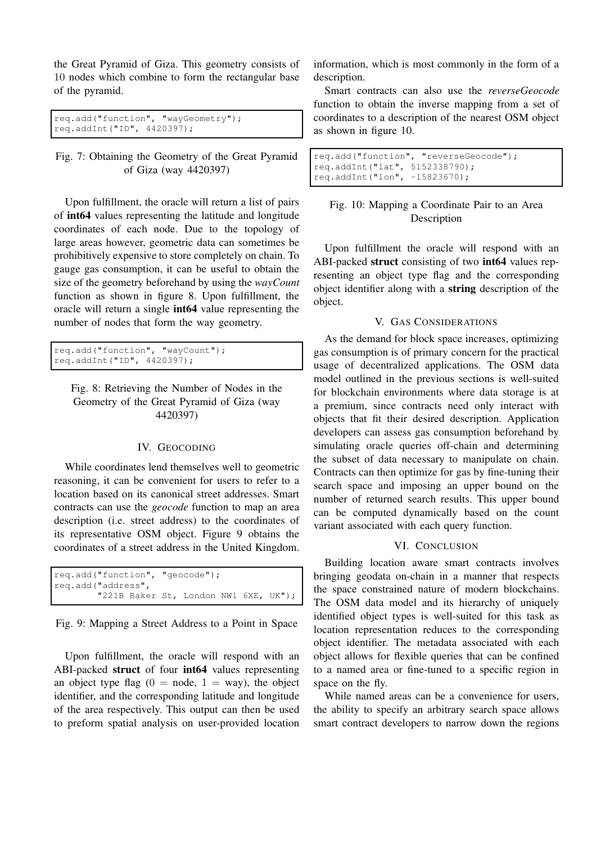the Great Pyramid of Giza. This geometry consists of 10 nodes which combine to form the rectangular base of the pyramid.

```
req.add("function", "wayGeometry");
req.addInt("ID", 4420397);
```
Fig. 7: Obtaining the Geometry of the Great Pyramid of Giza (way 4420397)

Upon fulfillment, the oracle will return a list of pairs of int64 values representing the latitude and longitude coordinates of each node. Due to the topology of large areas however, geometric data can sometimes be prohibitively expensive to store completely on chain. To gauge gas consumption, it can be useful to obtain the size of the geometry beforehand by using the *wayCount* function as shown in figure 8. Upon fulfillment, the oracle will return a single int64 value representing the number of nodes that form the way geometry.

```
req.add("function", "wayCount");
req.addInt("ID", 4420397);
```
Fig. 8: Retrieving the Number of Nodes in the Geometry of the Great Pyramid of Giza (way 4420397)

# IV. GEOCODING

While coordinates lend themselves well to geometric reasoning, it can be convenient for users to refer to a location based on its canonical street addresses. Smart contracts can use the *geocode* function to map an area description (i.e. street address) to the coordinates of its representative OSM object. Figure 9 obtains the coordinates of a street address in the United Kingdom.

| req.add("function", "geocode");       |  |  |  |  |
|---------------------------------------|--|--|--|--|
| reg.add("address",                    |  |  |  |  |
| "221B Baker St, London NW1 6XE, UK"); |  |  |  |  |

Fig. 9: Mapping a Street Address to a Point in Space

Upon fulfillment, the oracle will respond with an ABI-packed struct of four int64 values representing an object type flag  $(0 = node, 1 = way)$ , the object identifier, and the corresponding latitude and longitude of the area respectively. This output can then be used to preform spatial analysis on user-provided location

information, which is most commonly in the form of a description.

Smart contracts can also use the *reverseGeocode* function to obtain the inverse mapping from a set of coordinates to a description of the nearest OSM object as shown in figure 10.

req.add("function", "reverseGeocode"); req.addInt("lat", 5152338790); req.addInt("lon", -15823670);

# Fig. 10: Mapping a Coordinate Pair to an Area Description

Upon fulfillment the oracle will respond with an ABI-packed struct consisting of two int64 values representing an object type flag and the corresponding object identifier along with a string description of the object.

## V. GAS CONSIDERATIONS

As the demand for block space increases, optimizing gas consumption is of primary concern for the practical usage of decentralized applications. The OSM data model outlined in the previous sections is well-suited for blockchain environments where data storage is at a premium, since contracts need only interact with objects that fit their desired description. Application developers can assess gas consumption beforehand by simulating oracle queries off-chain and determining the subset of data necessary to manipulate on chain. Contracts can then optimize for gas by fine-tuning their search space and imposing an upper bound on the number of returned search results. This upper bound can be computed dynamically based on the count variant associated with each query function.

#### VI. CONCLUSION

Building location aware smart contracts involves bringing geodata on-chain in a manner that respects the space constrained nature of modern blockchains. The OSM data model and its hierarchy of uniquely identified object types is well-suited for this task as location representation reduces to the corresponding object identifier. The metadata associated with each object allows for flexible queries that can be confined to a named area or fine-tuned to a specific region in space on the fly.

While named areas can be a convenience for users, the ability to specify an arbitrary search space allows smart contract developers to narrow down the regions